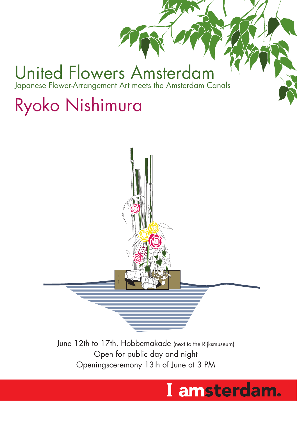### United Flowers Amsterdam Japanese Flower-Arrangement Art meets the Amsterdam Canals

## Ryoko Nishimura



June 12th to 17th, Hobbemakade (next to the Rijksmuseum) Open for public day and night Openingsceremony 13th of June at 3 PM

### I amsterdam.